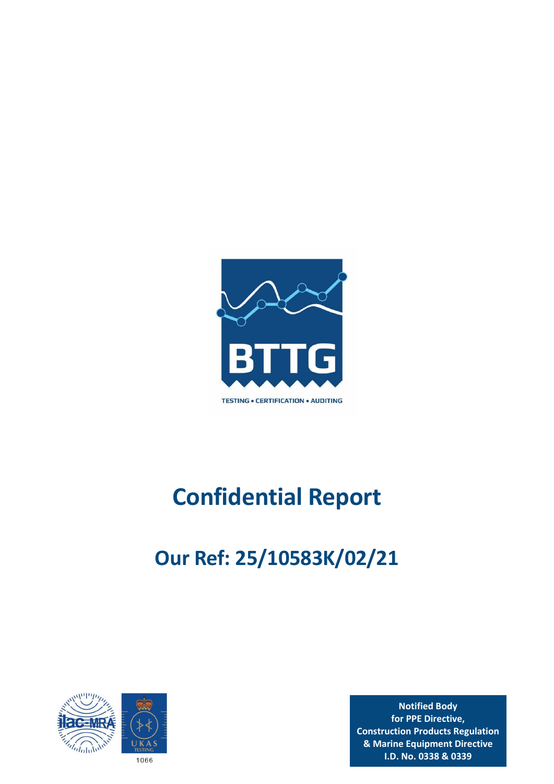

# **Confidential Report**

# **Our Ref: 25/10583K/02/21**



**Notified Body for PPE Directive, Construction Products Regulation & Marine Equipment Directive I.D. No. 0338 & 0339**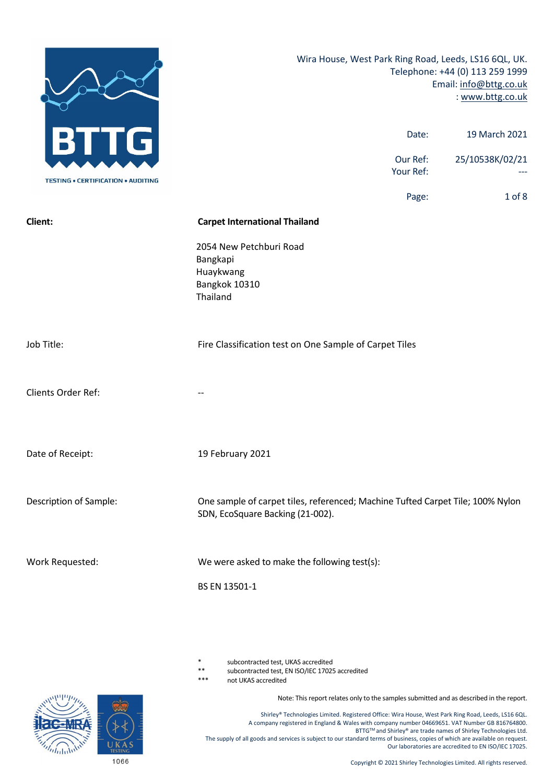

subcontracted test, UKAS accredited

\*\* subcontracted test, EN ISO/IEC 17025 accredited

not UKAS accredited

Note: This report relates only to the samples submitted and as described in the report.

Shirley® Technologies Limited. Registered Office: Wira House, West Park Ring Road, Leeds, LS16 6QL. A company registered in England & Wales with company number 04669651. VAT Number GB 816764800. BTTG™ and Shirley® are trade names of Shirley Technologies Ltd. The supply of all goods and services is subject to our standard terms of business, copies of which are available on request. Our laboratories are accredited to EN ISO/IEC 17025.

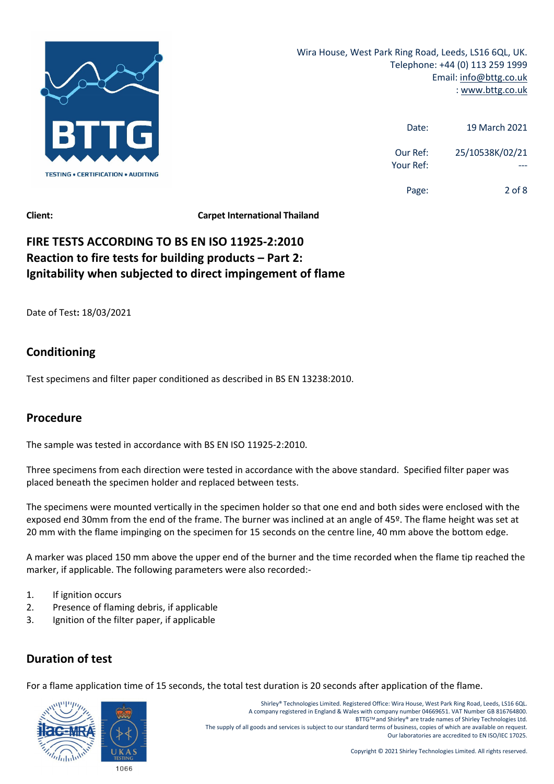

| 19 March 2021   | Date:                 |
|-----------------|-----------------------|
| 25/10538K/02/21 | Our Ref:<br>Your Ref: |
| $2$ of $8$      | Page:                 |

# **FIRE TESTS ACCORDING TO BS EN ISO 11925‐2:2010 Reaction to fire tests for building products – Part 2: Ignitability when subjected to direct impingement of flame**

Date of Test**:** 18/03/2021

# **Conditioning**

Test specimens and filter paper conditioned as described in BS EN 13238:2010.

# **Procedure**

The sample was tested in accordance with BS EN ISO 11925‐2:2010.

Three specimens from each direction were tested in accordance with the above standard. Specified filter paper was placed beneath the specimen holder and replaced between tests.

The specimens were mounted vertically in the specimen holder so that one end and both sides were enclosed with the exposed end 30mm from the end of the frame. The burner was inclined at an angle of 45º. The flame height was set at 20 mm with the flame impinging on the specimen for 15 seconds on the centre line, 40 mm above the bottom edge.

A marker was placed 150 mm above the upper end of the burner and the time recorded when the flame tip reached the marker, if applicable. The following parameters were also recorded:‐

- 1. If ignition occurs
- 2. Presence of flaming debris, if applicable
- 3. Ignition of the filter paper, if applicable

# **Duration of test**

For a flame application time of 15 seconds, the total test duration is 20 seconds after application of the flame.



Shirley® Technologies Limited. Registered Office: Wira House, West Park Ring Road, Leeds, LS16 6QL. A company registered in England & Wales with company number 04669651. VAT Number GB 816764800. BTTGTM and Shirley® are trade names of Shirley Technologies Ltd. The supply of all goods and services is subject to our standard terms of business, copies of which are available on request. Our laboratories are accredited to EN ISO/IEC 17025.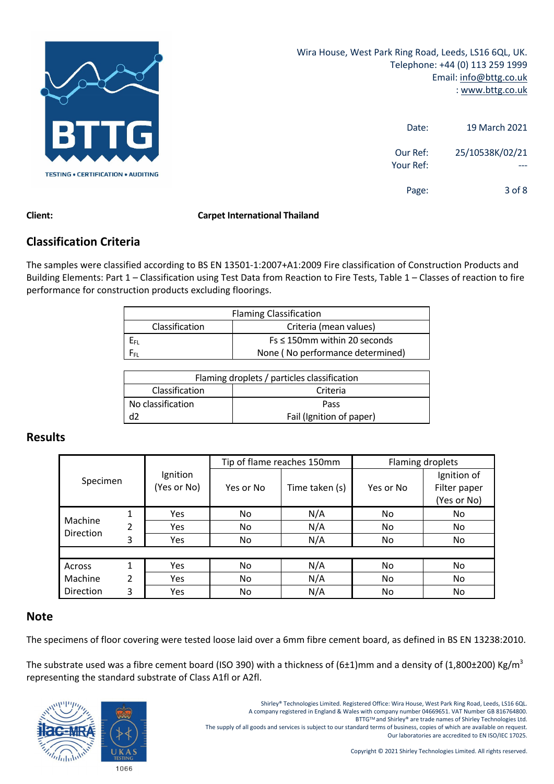

| 19 March 2021   | Date:                 |
|-----------------|-----------------------|
| 25/10538K/02/21 | Our Ref:<br>Your Ref: |
| 3 of 8          | Page:                 |

## **Classification Criteria**

The samples were classified according to BS EN 13501‐1:2007+A1:2009 Fire classification of Construction Products and Building Elements: Part 1 – Classification using Test Data from Reaction to Fire Tests, Table 1 – Classes of reaction to fire performance for construction products excluding floorings.

|                | <b>Flaming Classification</b>      |
|----------------|------------------------------------|
| Classification | Criteria (mean values)             |
| Eы             | $Fs \leq 150$ mm within 20 seconds |
| Fer.           | None (No performance determined)   |

|                   | Flaming droplets / particles classification |
|-------------------|---------------------------------------------|
| Classification    | Criteria                                    |
| No classification | Pass                                        |
| d2                | Fail (Ignition of paper)                    |

### **Results**

|                  |   |             | Tip of flame reaches 150mm |                | Flaming droplets |              |
|------------------|---|-------------|----------------------------|----------------|------------------|--------------|
| Specimen         |   | Ignition    |                            |                | Ignition of      |              |
|                  |   | (Yes or No) | Yes or No                  | Time taken (s) | Yes or No        | Filter paper |
|                  |   |             |                            |                |                  | (Yes or No)  |
| Machine          | 1 | Yes         | No                         | N/A            | No               | No           |
| <b>Direction</b> | 2 | <b>Yes</b>  | No                         | N/A            | No               | No           |
|                  | 3 | <b>Yes</b>  | No                         | N/A            | No.              | No           |
|                  |   |             |                            |                |                  |              |
| Across           | 1 | Yes         | No                         | N/A            | No.              | No           |
| Machine          | 2 | <b>Yes</b>  | No                         | N/A            | No               | No           |
| Direction        | 3 | Yes         | No.                        | N/A            | No.              | No           |

### **Note**

The specimens of floor covering were tested loose laid over a 6mm fibre cement board, as defined in BS EN 13238:2010.

The substrate used was a fibre cement board (ISO 390) with a thickness of (6±1)mm and a density of (1,800±200) Kg/m<sup>3</sup> representing the standard substrate of Class A1fl or A2fl.



The supply of all goods and services is subject to our standard terms of business, copies of which are available on request. Our laboratories are accredited to EN ISO/IEC 17025.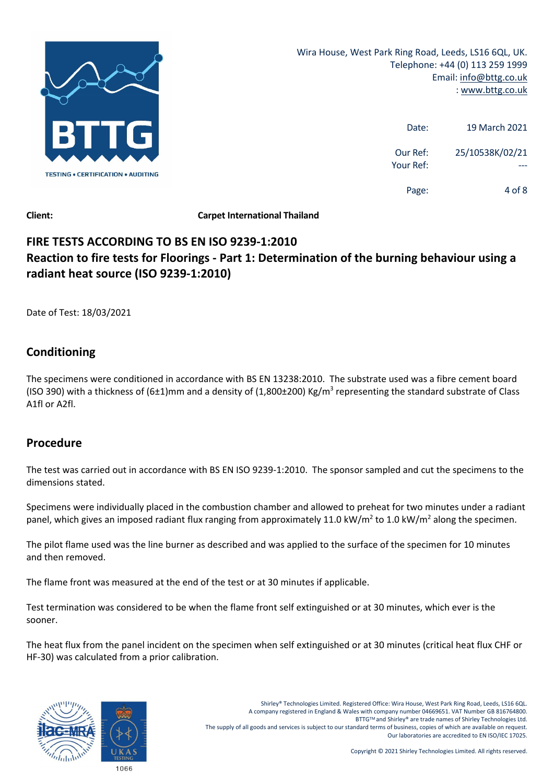

| 19 March 2021   | Date:                 |
|-----------------|-----------------------|
| 25/10538K/02/21 | Our Ref:<br>Your Ref: |
| 4 of 8          | Page:                 |

# **FIRE TESTS ACCORDING TO BS EN ISO 9239‐1:2010 Reaction to fire tests for Floorings ‐ Part 1: Determination of the burning behaviour using a radiant heat source (ISO 9239‐1:2010)**

Date of Test: 18/03/2021

# **Conditioning**

The specimens were conditioned in accordance with BS EN 13238:2010. The substrate used was a fibre cement board (ISO 390) with a thickness of (6±1)mm and a density of (1,800±200) Kg/m<sup>3</sup> representing the standard substrate of Class A1fl or A2fl.

# **Procedure**

The test was carried out in accordance with BS EN ISO 9239‐1:2010. The sponsor sampled and cut the specimens to the dimensions stated.

Specimens were individually placed in the combustion chamber and allowed to preheat for two minutes under a radiant panel, which gives an imposed radiant flux ranging from approximately 11.0 kW/m<sup>2</sup> to 1.0 kW/m<sup>2</sup> along the specimen.

The pilot flame used was the line burner as described and was applied to the surface of the specimen for 10 minutes and then removed.

The flame front was measured at the end of the test or at 30 minutes if applicable.

Test termination was considered to be when the flame front self extinguished or at 30 minutes, which ever is the sooner.

The heat flux from the panel incident on the specimen when self extinguished or at 30 minutes (critical heat flux CHF or HF‐30) was calculated from a prior calibration.

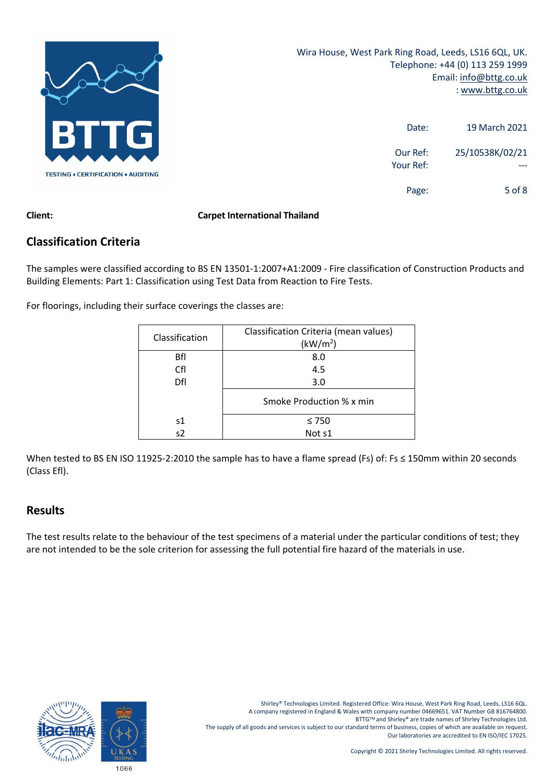

| 19 March 2021   | Date:                 |
|-----------------|-----------------------|
| 25/10538K/02/21 | Our Ref:<br>Your Ref: |
| $5$ of $8$      | Page:                 |

## **Classification Criteria**

The samples were classified according to BS EN 13501‐1:2007+A1:2009 ‐ Fire classification of Construction Products and Building Elements: Part 1: Classification using Test Data from Reaction to Fire Tests.

For floorings, including their surface coverings the classes are:

| Classification | Classification Criteria (mean values)<br>(kW/m <sup>2</sup> ) |
|----------------|---------------------------------------------------------------|
| Bfl            | 8.0                                                           |
| Cfl            | 4.5                                                           |
| Dfl            | 3.0                                                           |
|                | Smoke Production % x min                                      |
| s1             | $\leq 750$                                                    |
| s2             | Not s1                                                        |

When tested to BS EN ISO 11925-2:2010 the sample has to have a flame spread (Fs) of: Fs ≤ 150mm within 20 seconds (Class Efl).

### **Results**

The test results relate to the behaviour of the test specimens of a material under the particular conditions of test; they are not intended to be the sole criterion for assessing the full potential fire hazard of the materials in use.

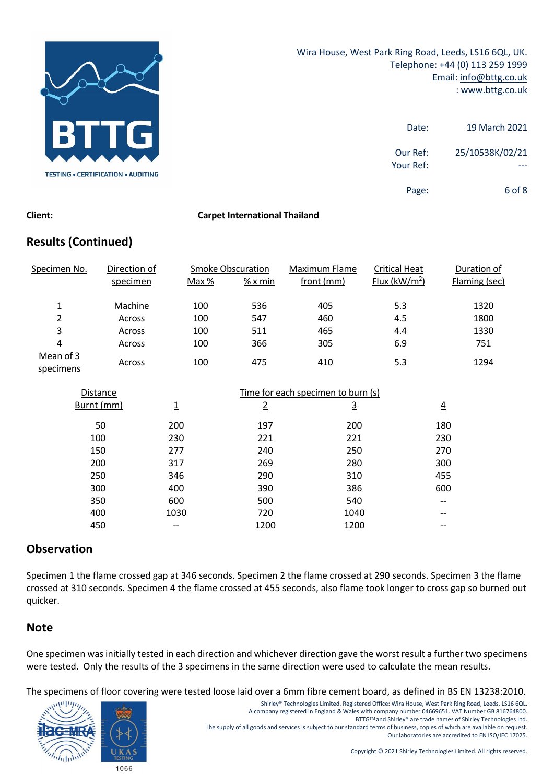

| 19 March 2021   | Date:                 |
|-----------------|-----------------------|
| 25/10538K/02/21 | Our Ref:<br>Your Ref: |
| 6 of 8          | Page:                 |

# **Results (Continued)**

| Specimen No.           | Direction of  |       | <b>Smoke Obscuration</b> | Maximum Flame | <b>Critical Heat</b>     | Duration of   |
|------------------------|---------------|-------|--------------------------|---------------|--------------------------|---------------|
|                        | specimen      | Max % | $%x$ min                 | front (mm)    | Flux ( $\text{kW/m}^2$ ) | Flaming (sec) |
| 1                      | Machine       | 100   | 536                      | 405           | 5.3                      | 1320          |
| 2                      | Across        | 100   | 547                      | 460           | 4.5                      | 1800          |
| 3                      | <b>Across</b> | 100   | 511                      | 465           | 4.4                      | 1330          |
| 4                      | <b>Across</b> | 100   | 366                      | 305           | 6.9                      | 751           |
| Mean of 3<br>specimens | Across        | 100   | 475                      | 410           | 5.3                      | 1294          |

| Distance   |      | Time for each specimen to burn (s) |          |                |
|------------|------|------------------------------------|----------|----------------|
| Burnt (mm) | 1    | $\overline{2}$                     | <u>3</u> | $\overline{4}$ |
| 50         | 200  | 197                                | 200      | 180            |
| 100        | 230  | 221                                | 221      | 230            |
| 150        | 277  | 240                                | 250      | 270            |
| 200        | 317  | 269                                | 280      | 300            |
| 250        | 346  | 290                                | 310      | 455            |
| 300        | 400  | 390                                | 386      | 600            |
| 350        | 600  | 500                                | 540      | --             |
| 400        | 1030 | 720                                | 1040     | --             |
| 450        |      | 1200                               | 1200     |                |

# **Observation**

Specimen 1 the flame crossed gap at 346 seconds. Specimen 2 the flame crossed at 290 seconds. Specimen 3 the flame crossed at 310 seconds. Specimen 4 the flame crossed at 455 seconds, also flame took longer to cross gap so burned out quicker.

### **Note**

One specimen was initially tested in each direction and whichever direction gave the worst result a further two specimens were tested. Only the results of the 3 specimens in the same direction were used to calculate the mean results.

The specimens of floor covering were tested loose laid over a 6mm fibre cement board, as defined in BS EN 13238:2010.



Shirley® Technologies Limited. Registered Office: Wira House, West Park Ring Road, Leeds, LS16 6QL. A company registered in England & Wales with company number 04669651. VAT Number GB 816764800. BTTGTM and Shirley® are trade names of Shirley Technologies Ltd. The supply of all goods and services is subject to our standard terms of business, copies of which are available on request. Our laboratories are accredited to EN ISO/IEC 17025.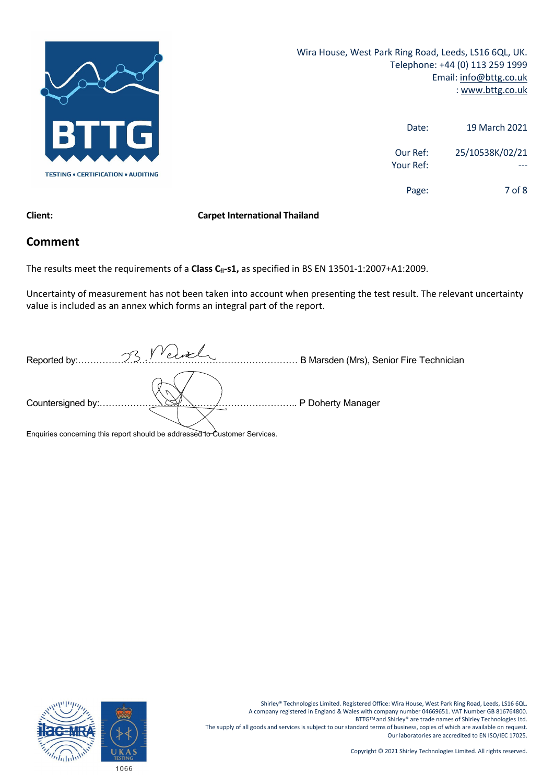

Wira House, West Park Ring Road, Leeds, LS16 6QL, UK. Telephone: +44 (0) 113 259 1999 Email: info@bttg.co.uk : www.bttg.co.uk

| 19 March 2021   | Date:                 |
|-----------------|-----------------------|
| 25/10538K/02/21 | Our Ref:<br>Your Ref: |
| 7 of 8          | Page:                 |

### **Client: Carpet International Thailand**

### **Comment**

The results meet the requirements of a **Class C<sub>fl</sub>-s1**, as specified in BS EN 13501-1:2007+A1:2009.

Uncertainty of measurement has not been taken into account when presenting the test result. The relevant uncertainty value is included as an annex which forms an integral part of the report.

| Reported by:.      | 33 Velvel                                           | B Marsden (Mrs), Senior Fire Technician |
|--------------------|-----------------------------------------------------|-----------------------------------------|
| Countersigned by:. |                                                     | . P Doherty Manager                     |
|                    | $\bullet$ . $\bullet$ .<br>$\overline{\phantom{a}}$ |                                         |

Enquiries concerning this report should be addressed to Customer Services.

Shirley® Technologies Limited. Registered Office: Wira House, West Park Ring Road, Leeds, LS16 6QL. A company registered in England & Wales with company number 04669651. VAT Number GB 816764800. BTTG™ and Shirley® are trade names of Shirley Technologies Ltd. The supply of all goods and services is subject to our standard terms of business, copies of which are available on request. Our laboratories are accredited to EN ISO/IEC 17025.